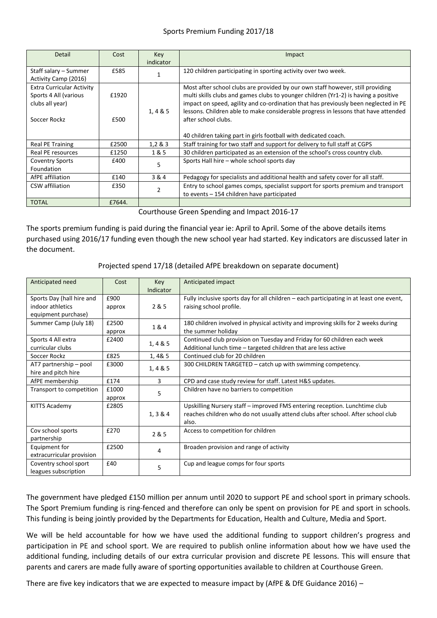## Sports Premium Funding 2017/18

| Detail                           | Cost   | Key       | Impact                                                                              |
|----------------------------------|--------|-----------|-------------------------------------------------------------------------------------|
|                                  |        | indicator |                                                                                     |
| Staff salary – Summer            | £585   |           | 120 children participating in sporting activity over two week.                      |
| Activity Camp (2016)             |        |           |                                                                                     |
| <b>Extra Curricular Activity</b> |        |           | Most after school clubs are provided by our own staff however, still providing      |
| Sports 4 All (various            | £1920  |           | multi skills clubs and games clubs to younger children (Yr1-2) is having a positive |
| clubs all year)                  |        |           | impact on speed, agility and co-ordination that has previously been neglected in PE |
|                                  |        | 1,4 & 5   | lessons. Children able to make considerable progress in lessons that have attended  |
| Soccer Rockz                     | £500   |           | after school clubs.                                                                 |
|                                  |        |           |                                                                                     |
|                                  |        |           | 40 children taking part in girls football with dedicated coach.                     |
| Real PE Training                 | £2500  | 1,283     | Staff training for two staff and support for delivery to full staff at CGPS         |
| Real PE resources                | £1250  | 1 & 5     | 30 children participated as an extension of the school's cross country club.        |
| <b>Coventry Sports</b>           | £400   | 5         | Sports Hall hire - whole school sports day                                          |
| Foundation                       |        |           |                                                                                     |
| AfPE affiliation                 | £140   | 3 & 4     | Pedagogy for specialists and additional health and safety cover for all staff.      |
| CSW affiliation                  | £350   |           | Entry to school games comps, specialist support for sports premium and transport    |
|                                  |        |           | to events - 154 children have participated                                          |
| <b>TOTAL</b>                     | £7644. |           |                                                                                     |

Courthouse Green Spending and Impact 2016-17

The sports premium funding is paid during the financial year ie: April to April. Some of the above details items purchased using 2016/17 funding even though the new school year had started. Key indicators are discussed later in the document.

# Projected spend 17/18 (detailed AfPE breakdown on separate document)

| Anticipated need                                                     | Cost            | Key<br>Indicator | Anticipated impact                                                                                                                                                      |
|----------------------------------------------------------------------|-----------------|------------------|-------------------------------------------------------------------------------------------------------------------------------------------------------------------------|
| Sports Day (hall hire and<br>indoor athletics<br>equipment purchase) | £900<br>approx  | 2 & 5            | Fully inclusive sports day for all children – each participating in at least one event,<br>raising school profile.                                                      |
| Summer Camp (July 18)                                                | £2500<br>approx | 1&4              | 180 children involved in physical activity and improving skills for 2 weeks during<br>the summer holiday                                                                |
| Sports 4 All extra<br>curricular clubs                               | £2400           | 1, 4 & 85        | Continued club provision on Tuesday and Friday for 60 children each week<br>Additional lunch time - targeted children that are less active                              |
| Soccer Rockz                                                         | £825            | 1,4&5            | Continued club for 20 children                                                                                                                                          |
| AT7 partnership – pool<br>hire and pitch hire                        | £3000           | 1, 4 & 5         | 300 CHILDREN TARGETED – catch up with swimming competency.                                                                                                              |
| AfPE membership                                                      | £174            | 3                | CPD and case study review for staff. Latest H&S updates.                                                                                                                |
| Transport to competition                                             | £1000<br>approx | 5                | Children have no barriers to competition                                                                                                                                |
| <b>KITTS Academy</b>                                                 | £2805           | 1, 3 & 4         | Upskilling Nursery staff - improved FMS entering reception. Lunchtime club<br>reaches children who do not usually attend clubs after school. After school club<br>also. |
| Cov school sports<br>partnership                                     | £270            | 2 & 5            | Access to competition for children                                                                                                                                      |
| Equipment for<br>extracurricular provision                           | £2500           | 4                | Broaden provision and range of activity                                                                                                                                 |
| Coventry school sport<br>leagues subscription                        | £40             | 5                | Cup and league comps for four sports                                                                                                                                    |

The government have pledged £150 million per annum until 2020 to support PE and school sport in primary schools. The Sport Premium funding is ring-fenced and therefore can only be spent on provision for PE and sport in schools. This funding is being jointly provided by the Departments for Education, Health and Culture, Media and Sport.

We will be held accountable for how we have used the additional funding to support children's progress and participation in PE and school sport. We are required to publish online information about how we have used the additional funding, including details of our extra curricular provision and discrete PE lessons. This will ensure that parents and carers are made fully aware of sporting opportunities available to children at Courthouse Green.

There are five key indicators that we are expected to measure impact by (AfPE & DfE Guidance 2016) –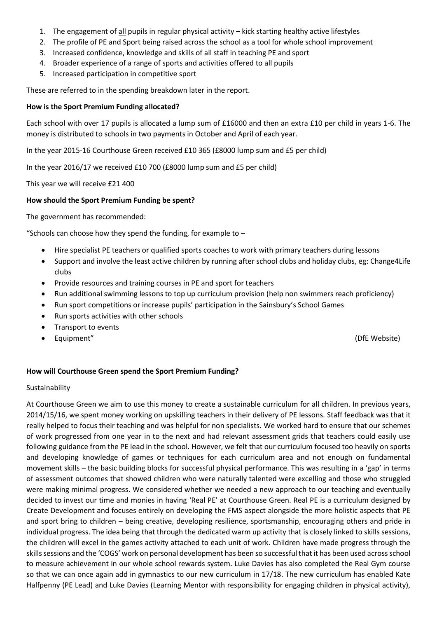- 1. The engagement of all pupils in regular physical activity kick starting healthy active lifestyles
- 2. The profile of PE and Sport being raised across the school as a tool for whole school improvement
- 3. Increased confidence, knowledge and skills of all staff in teaching PE and sport
- 4. Broader experience of a range of sports and activities offered to all pupils
- 5. Increased participation in competitive sport

These are referred to in the spending breakdown later in the report.

### **How is the Sport Premium Funding allocated?**

Each school with over 17 pupils is allocated a lump sum of £16000 and then an extra £10 per child in years 1-6. The money is distributed to schools in two payments in October and April of each year.

In the year 2015-16 Courthouse Green received £10 365 (£8000 lump sum and £5 per child)

In the year 2016/17 we received £10 700 (£8000 lump sum and £5 per child)

This year we will receive £21 400

### **How should the Sport Premium Funding be spent?**

The government has recommended:

"Schools can choose how they spend the funding, for example to  $-$ 

- Hire specialist PE teachers or qualified sports coaches to work with primary teachers during lessons
- Support and involve the least active children by running after school clubs and holiday clubs, eg: Change4Life clubs
- Provide resources and training courses in PE and sport for teachers
- Run additional swimming lessons to top up curriculum provision (help non swimmers reach proficiency)
- Run sport competitions or increase pupils' participation in the Sainsbury's School Games
- Run sports activities with other schools
- Transport to events
- Equipment" (DfE Website)

### **How will Courthouse Green spend the Sport Premium Funding?**

### Sustainability

At Courthouse Green we aim to use this money to create a sustainable curriculum for all children. In previous years, 2014/15/16, we spent money working on upskilling teachers in their delivery of PE lessons. Staff feedback was that it really helped to focus their teaching and was helpful for non specialists. We worked hard to ensure that our schemes of work progressed from one year in to the next and had relevant assessment grids that teachers could easily use following guidance from the PE lead in the school. However, we felt that our curriculum focused too heavily on sports and developing knowledge of games or techniques for each curriculum area and not enough on fundamental movement skills – the basic building blocks for successful physical performance. This was resulting in a 'gap' in terms of assessment outcomes that showed children who were naturally talented were excelling and those who struggled were making minimal progress. We considered whether we needed a new approach to our teaching and eventually decided to invest our time and monies in having 'Real PE' at Courthouse Green. Real PE is a curriculum designed by Create Development and focuses entirely on developing the FMS aspect alongside the more holistic aspects that PE and sport bring to children – being creative, developing resilience, sportsmanship, encouraging others and pride in individual progress. The idea being that through the dedicated warm up activity that is closely linked to skills sessions, the children will excel in the games activity attached to each unit of work. Children have made progress through the skills sessions and the 'COGS' work on personal development has been so successful that it has been used across school to measure achievement in our whole school rewards system. Luke Davies has also completed the Real Gym course so that we can once again add in gymnastics to our new curriculum in 17/18. The new curriculum has enabled Kate Halfpenny (PE Lead) and Luke Davies (Learning Mentor with responsibility for engaging children in physical activity),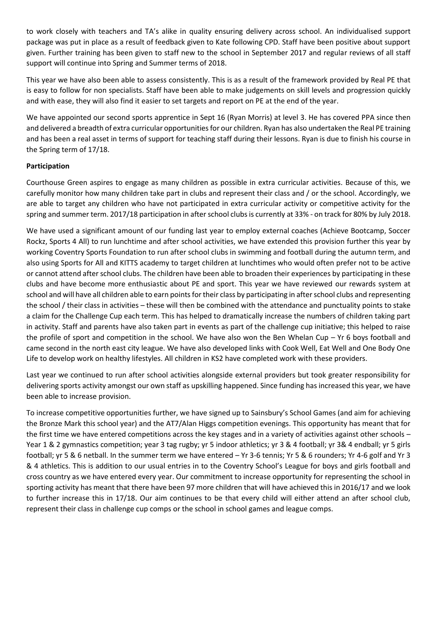to work closely with teachers and TA's alike in quality ensuring delivery across school. An individualised support package was put in place as a result of feedback given to Kate following CPD. Staff have been positive about support given. Further training has been given to staff new to the school in September 2017 and regular reviews of all staff support will continue into Spring and Summer terms of 2018.

This year we have also been able to assess consistently. This is as a result of the framework provided by Real PE that is easy to follow for non specialists. Staff have been able to make judgements on skill levels and progression quickly and with ease, they will also find it easier to set targets and report on PE at the end of the year.

We have appointed our second sports apprentice in Sept 16 (Ryan Morris) at level 3. He has covered PPA since then and delivered a breadth of extra curricular opportunities for our children. Ryan has also undertaken the Real PE training and has been a real asset in terms of support for teaching staff during their lessons. Ryan is due to finish his course in the Spring term of 17/18.

# **Participation**

Courthouse Green aspires to engage as many children as possible in extra curricular activities. Because of this, we carefully monitor how many children take part in clubs and represent their class and / or the school. Accordingly, we are able to target any children who have not participated in extra curricular activity or competitive activity for the spring and summer term. 2017/18 participation in after school clubs is currently at 33% - on track for 80% by July 2018.

We have used a significant amount of our funding last year to employ external coaches (Achieve Bootcamp, Soccer Rockz, Sports 4 All) to run lunchtime and after school activities, we have extended this provision further this year by working Coventry Sports Foundation to run after school clubs in swimming and football during the autumn term, and also using Sports for All and KITTS academy to target children at lunchtimes who would often prefer not to be active or cannot attend after school clubs. The children have been able to broaden their experiences by participating in these clubs and have become more enthusiastic about PE and sport. This year we have reviewed our rewards system at school and will have all children able to earn points for their class by participating in after school clubs and representing the school / their class in activities – these will then be combined with the attendance and punctuality points to stake a claim for the Challenge Cup each term. This has helped to dramatically increase the numbers of children taking part in activity. Staff and parents have also taken part in events as part of the challenge cup initiative; this helped to raise the profile of sport and competition in the school. We have also won the Ben Whelan Cup – Yr 6 boys football and came second in the north east city league. We have also developed links with Cook Well, Eat Well and One Body One Life to develop work on healthy lifestyles. All children in KS2 have completed work with these providers.

Last year we continued to run after school activities alongside external providers but took greater responsibility for delivering sports activity amongst our own staff as upskilling happened. Since funding has increased this year, we have been able to increase provision.

To increase competitive opportunities further, we have signed up to Sainsbury's School Games (and aim for achieving the Bronze Mark this school year) and the AT7/Alan Higgs competition evenings. This opportunity has meant that for the first time we have entered competitions across the key stages and in a variety of activities against other schools – Year 1 & 2 gymnastics competition; year 3 tag rugby; yr 5 indoor athletics; yr 3 & 4 football; yr 3& 4 endball; yr 5 girls football; yr 5 & 6 netball. In the summer term we have entered – Yr 3-6 tennis; Yr 5 & 6 rounders; Yr 4-6 golf and Yr 3 & 4 athletics. This is addition to our usual entries in to the Coventry School's League for boys and girls football and cross country as we have entered every year. Our commitment to increase opportunity for representing the school in sporting activity has meant that there have been 97 more children that will have achieved this in 2016/17 and we look to further increase this in 17/18. Our aim continues to be that every child will either attend an after school club, represent their class in challenge cup comps or the school in school games and league comps.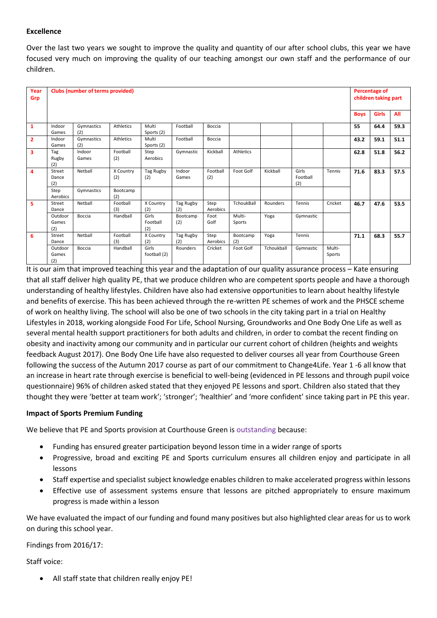## **Excellence**

Over the last two years we sought to improve the quality and quantity of our after school clubs, this year we have focused very much on improving the quality of our teaching amongst our own staff and the performance of our children.

| Year<br>Grp             | <b>Clubs (number of terms provided)</b> |                   |                  |                          |                  |                  |                  |            |                          | <b>Percentage of</b><br>children taking part |             |              |      |
|-------------------------|-----------------------------------------|-------------------|------------------|--------------------------|------------------|------------------|------------------|------------|--------------------------|----------------------------------------------|-------------|--------------|------|
|                         |                                         |                   |                  |                          |                  |                  |                  |            |                          |                                              | <b>Boys</b> | <b>Girls</b> | All  |
| $\mathbf{1}$            | Indoor<br>Games                         | Gymnastics<br>(2) | Athletics        | Multi<br>Sports (2)      | Football         | Boccia           |                  |            |                          |                                              | 55          | 64.4         | 59.3 |
| $\overline{2}$          | Indoor<br>Games                         | Gymnastics<br>(2) | <b>Athletics</b> | Multi<br>Sports (2)      | Football         | Boccia           |                  |            |                          |                                              | 43.2        | 59.1         | 51.1 |
| $\overline{\mathbf{3}}$ | Tag<br>Rugby<br>(2)                     | Indoor<br>Games   | Football<br>(2)  | Step<br>Aerobics         | Gymnastic        | Kickball         | <b>Athletics</b> |            |                          |                                              | 62.8        | 51.8         | 56.2 |
| 4                       | Street<br>Dance<br>(2)                  | Netball           | X Country<br>(2) | Tag Rugby<br>(2)         | Indoor<br>Games  | Football<br>(2)  | Foot Golf        | Kickball   | Girls<br>Football<br>(2) | Tennis                                       | 71.6        | 83.3         | 57.5 |
|                         | Step<br>Aerobics                        | Gymnastics        | Bootcamp<br>(2)  |                          |                  |                  |                  |            |                          |                                              |             |              |      |
| 5                       | Street<br>Dance                         | Netball           | Football<br>(3)  | X Country<br>(2)         | Tag Rugby<br>(2) | Step<br>Aerobics | TchoukBall       | Rounders   | Tennis                   | Cricket                                      | 46.7        | 47.6         | 53.5 |
|                         | Outdoor<br>Games<br>(2)                 | Boccia            | Handball         | Girls<br>Football<br>(2) | Bootcamp<br>(2)  | Foot<br>Golf     | Multi-<br>Sports | Yoga       | Gymnastic                |                                              |             |              |      |
| 6                       | Street<br>Dance                         | Netball           | Football<br>(3)  | X Country<br>(2)         | Tag Rugby<br>(2) | Step<br>Aerobics | Bootcamp<br>(2)  | Yoga       | Tennis                   |                                              | 71.1        | 68.3         | 55.7 |
|                         | Outdoor<br>Games<br>(2)                 | Boccia            | Handball         | Girls<br>football (2)    | Rounders         | Cricket          | Foot Golf        | Tchoukball | Gymnastic                | Multi-<br>Sports                             |             |              |      |

It is our aim that improved teaching this year and the adaptation of our quality assurance process – Kate ensuring that all staff deliver high quality PE, that we produce children who are competent sports people and have a thorough understanding of healthy lifestyles. Children have also had extensive opportunities to learn about healthy lifestyle and benefits of exercise. This has been achieved through the re-written PE schemes of work and the PHSCE scheme of work on healthy living. The school will also be one of two schools in the city taking part in a trial on Healthy Lifestyles in 2018, working alongside Food For Life, School Nursing, Groundworks and One Body One Life as well as several mental health support practitioners for both adults and children, in order to combat the recent finding on obesity and inactivity among our community and in particular our current cohort of children (heights and weights feedback August 2017). One Body One Life have also requested to deliver courses all year from Courthouse Green following the success of the Autumn 2017 course as part of our commitment to Change4Life. Year 1 -6 all know that an increase in heart rate through exercise is beneficial to well-being (evidenced in PE lessons and through pupil voice questionnaire) 96% of children asked stated that they enjoyed PE lessons and sport. Children also stated that they thought they were 'better at team work'; 'stronger'; 'healthier' and 'more confident' since taking part in PE this year.

### **Impact of Sports Premium Funding**

We believe that PE and Sports provision at Courthouse Green is outstanding because:

- Funding has ensured greater participation beyond lesson time in a wider range of sports
- Progressive, broad and exciting PE and Sports curriculum ensures all children enjoy and participate in all lessons
- Staff expertise and specialist subject knowledge enables children to make accelerated progress within lessons
- Effective use of assessment systems ensure that lessons are pitched appropriately to ensure maximum progress is made within a lesson

We have evaluated the impact of our funding and found many positives but also highlighted clear areas for us to work on during this school year.

Findings from 2016/17:

Staff voice:

All staff state that children really enjoy PE!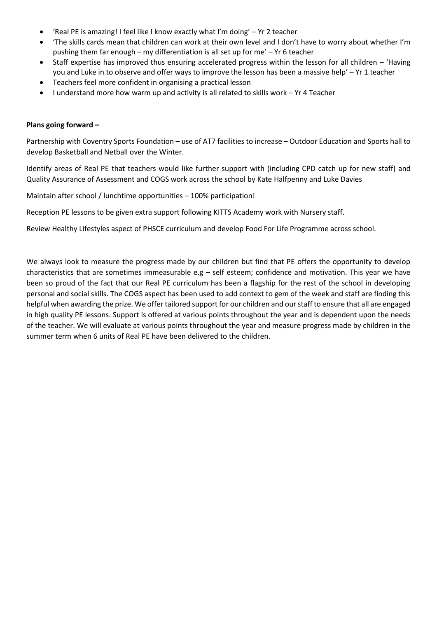- 'Real PE is amazing! I feel like I know exactly what I'm doing' Yr 2 teacher
- 'The skills cards mean that children can work at their own level and I don't have to worry about whether I'm pushing them far enough – my differentiation is all set up for me' – Yr 6 teacher
- Staff expertise has improved thus ensuring accelerated progress within the lesson for all children 'Having you and Luke in to observe and offer ways to improve the lesson has been a massive help' – Yr 1 teacher
- Teachers feel more confident in organising a practical lesson
- I understand more how warm up and activity is all related to skills work Yr 4 Teacher

#### **Plans going forward –**

Partnership with Coventry Sports Foundation – use of AT7 facilities to increase – Outdoor Education and Sports hall to develop Basketball and Netball over the Winter.

Identify areas of Real PE that teachers would like further support with (including CPD catch up for new staff) and Quality Assurance of Assessment and COGS work across the school by Kate Halfpenny and Luke Davies

Maintain after school / lunchtime opportunities – 100% participation!

Reception PE lessons to be given extra support following KITTS Academy work with Nursery staff.

Review Healthy Lifestyles aspect of PHSCE curriculum and develop Food For Life Programme across school.

We always look to measure the progress made by our children but find that PE offers the opportunity to develop characteristics that are sometimes immeasurable e.g – self esteem; confidence and motivation. This year we have been so proud of the fact that our Real PE curriculum has been a flagship for the rest of the school in developing personal and social skills. The COGS aspect has been used to add context to gem of the week and staff are finding this helpful when awarding the prize. We offer tailored support for our children and our staff to ensure that all are engaged in high quality PE lessons. Support is offered at various points throughout the year and is dependent upon the needs of the teacher. We will evaluate at various points throughout the year and measure progress made by children in the summer term when 6 units of Real PE have been delivered to the children.